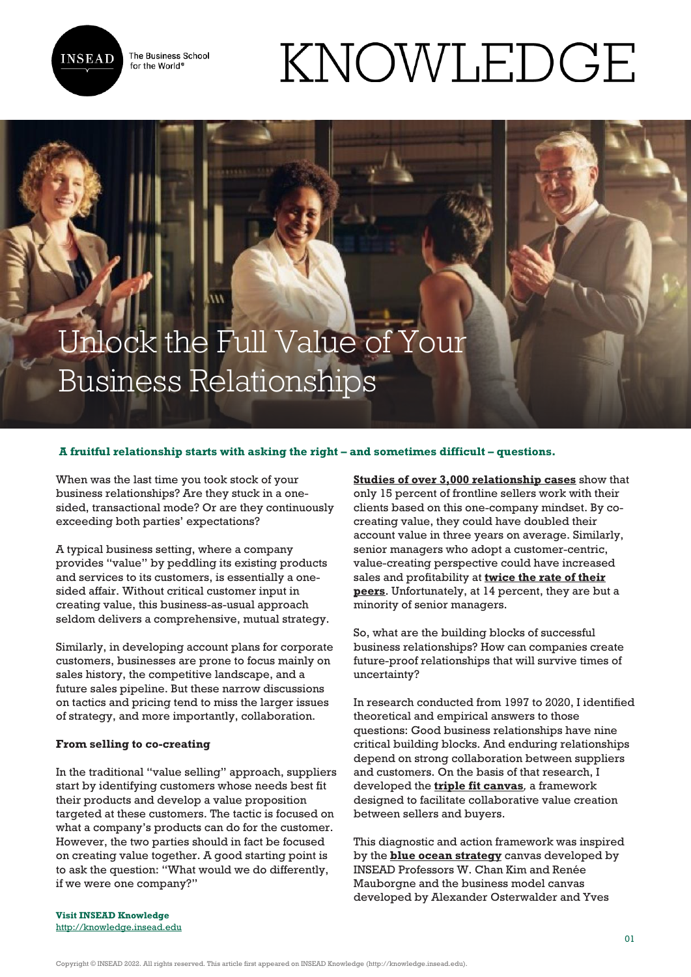

The Business School for the World<sup>®</sup>

# KNOWLEDGE

# Unlock the Full Value of Your Business Relationships

# **A fruitful relationship starts with asking the right – and sometimes difficult – questions.**

When was the last time you took stock of your business relationships? Are they stuck in a onesided, transactional mode? Or are they continuously exceeding both parties' expectations?

A typical business setting, where a company provides "value" by peddling its existing products and services to its customers, is essentially a onesided affair. Without critical customer input in creating value, this business-as-usual approach seldom delivers a comprehensive, mutual strategy.

Similarly, in developing account plans for corporate customers, businesses are prone to focus mainly on sales history, the competitive landscape, and a future sales pipeline. But these narrow discussions on tactics and pricing tend to miss the larger issues of strategy, and more importantly, collaboration.

### **From selling to co-creating**

In the traditional "value selling" approach, suppliers start by identifying customers whose needs best fit their products and develop a value proposition targeted at these customers. The tactic is focused on what a company's products can do for the customer. However, the two parties should in fact be focused on creating value together. A good starting point is to ask the question: "What would we do differently, if we were one company?"

**[Studies of over 3,000 relationship cases](https://cmr.berkeley.edu/search/articleDetail.aspx?article=5723)** show that only 15 percent of frontline sellers work with their clients based on this one-company mindset. By cocreating value, they could have doubled their account value in three years on average. Similarly, senior managers who adopt a customer-centric, value-creating perspective could have increased sales and profitability at **[twice the rate of their](https://www.hbr.org/2021/03/when-ceos-make-sales-calls) [peers](https://www.hbr.org/2021/03/when-ceos-make-sales-calls)**. Unfortunately, at 14 percent, they are but a minority of senior managers.

So, what are the building blocks of successful business relationships? How can companies create future-proof relationships that will survive times of uncertainty?

In research conducted from 1997 to 2020, I identified theoretical and empirical answers to those questions: Good business relationships have nine critical building blocks. And enduring relationships depend on strong collaboration between suppliers and customers. On the basis of that research, I developed the **[triple fit canvas](http://www.valuecreator.com)***,* a framework designed to facilitate collaborative value creation between sellers and buyers.

This diagnostic and action framework was inspired by the **[blue ocean strategy](https://knowledge.insead.edu/leadership-management/the-blue-ocean-leadership-strategy-blog-3604)** canvas developed by INSEAD Professors W. Chan Kim and Renée Mauborgne and the business model canvas developed by Alexander Osterwalder and Yves

**Visit INSEAD Knowledge** <http://knowledge.insead.edu>

Copyright © INSEAD 2022. All rights reserved. This article first appeared on INSEAD Knowledge (http://knowledge.insead.edu).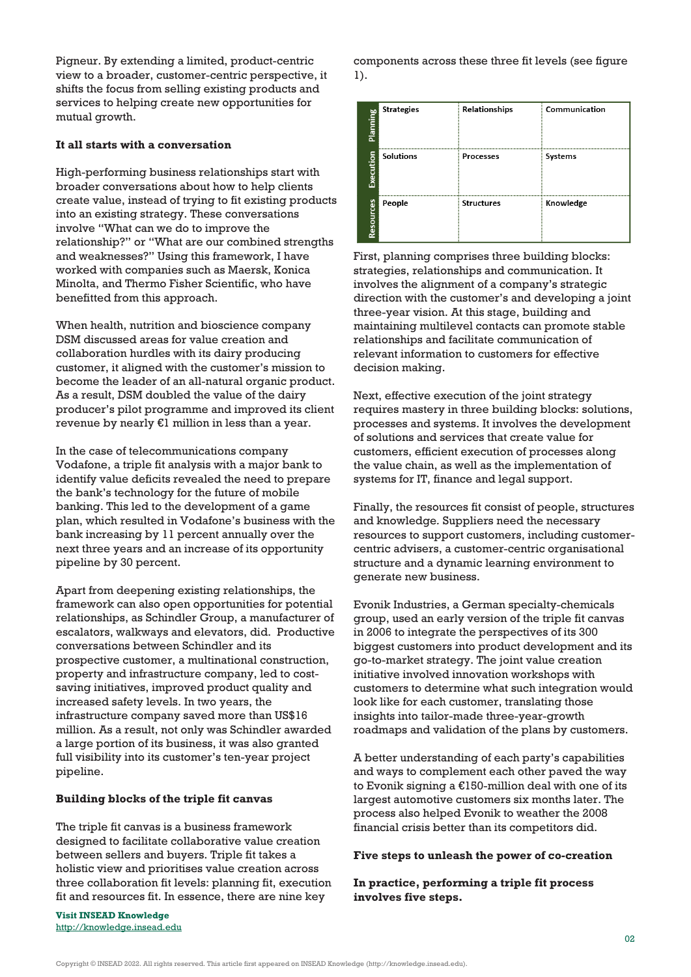Pigneur. By extending a limited, product-centric view to a broader, customer-centric perspective, it shifts the focus from selling existing products and services to helping create new opportunities for mutual growth.

# **It all starts with a conversation**

High-performing business relationships start with broader conversations about how to help clients create value, instead of trying to fit existing products into an existing strategy. These conversations involve "What can we do to improve the relationship?" or "What are our combined strengths and weaknesses?" Using this framework, I have worked with companies such as Maersk, Konica Minolta, and Thermo Fisher Scientific, who have benefitted from this approach.

When health, nutrition and bioscience company DSM discussed areas for value creation and collaboration hurdles with its dairy producing customer, it aligned with the customer's mission to become the leader of an all-natural organic product. As a result, DSM doubled the value of the dairy producer's pilot programme and improved its client revenue by nearly  $E1$  million in less than a year.

In the case of telecommunications company Vodafone, a triple fit analysis with a major bank to identify value deficits revealed the need to prepare the bank's technology for the future of mobile banking. This led to the development of a game plan, which resulted in Vodafone's business with the bank increasing by 11 percent annually over the next three years and an increase of its opportunity pipeline by 30 percent.

Apart from deepening existing relationships, the framework can also open opportunities for potential relationships, as Schindler Group, a manufacturer of escalators, walkways and elevators, did. Productive conversations between Schindler and its prospective customer, a multinational construction, property and infrastructure company, led to costsaving initiatives, improved product quality and increased safety levels. In two years, the infrastructure company saved more than US\$16 million. As a result, not only was Schindler awarded a large portion of its business, it was also granted full visibility into its customer's ten-year project pipeline.

#### **Building blocks of the triple fit canvas**

The triple fit canvas is a business framework designed to facilitate collaborative value creation between sellers and buyers. Triple fit takes a holistic view and prioritises value creation across three collaboration fit levels: planning fit, execution fit and resources fit. In essence, there are nine key

**Visit INSEAD Knowledge** <http://knowledge.insead.edu> components across these three fit levels (see figure 1).

| Planning  | <b>Strategies</b> | <b>Relationships</b> | Communication  |
|-----------|-------------------|----------------------|----------------|
| Execution | <b>Solutions</b>  | <b>Processes</b>     | <b>Systems</b> |
| Resources | People            | <b>Structures</b>    | Knowledge      |

First, planning comprises three building blocks: strategies, relationships and communication. It involves the alignment of a company's strategic direction with the customer's and developing a joint three-year vision. At this stage, building and maintaining multilevel contacts can promote stable relationships and facilitate communication of relevant information to customers for effective decision making.

Next, effective execution of the joint strategy requires mastery in three building blocks: solutions, processes and systems. It involves the development of solutions and services that create value for customers, efficient execution of processes along the value chain, as well as the implementation of systems for IT, finance and legal support.

Finally, the resources fit consist of people, structures and knowledge*.* Suppliers need the necessary resources to support customers, including customercentric advisers, a customer-centric organisational structure and a dynamic learning environment to generate new business.

Evonik Industries, a German specialty-chemicals group, used an early version of the triple fit canvas in 2006 to integrate the perspectives of its 300 biggest customers into product development and its go-to-market strategy. The joint value creation initiative involved innovation workshops with customers to determine what such integration would look like for each customer, translating those insights into tailor-made three-year-growth roadmaps and validation of the plans by customers.

A better understanding of each party's capabilities and ways to complement each other paved the way to Evonik signing a €150-million deal with one of its largest automotive customers six months later. The process also helped Evonik to weather the 2008 financial crisis better than its competitors did.

### **Five steps to unleash the power of co-creation**

**In practice, performing a triple fit process involves five steps.** 

Copyright © INSEAD 2022. All rights reserved. This article first appeared on INSEAD Knowledge (http://knowledge.insead.edu).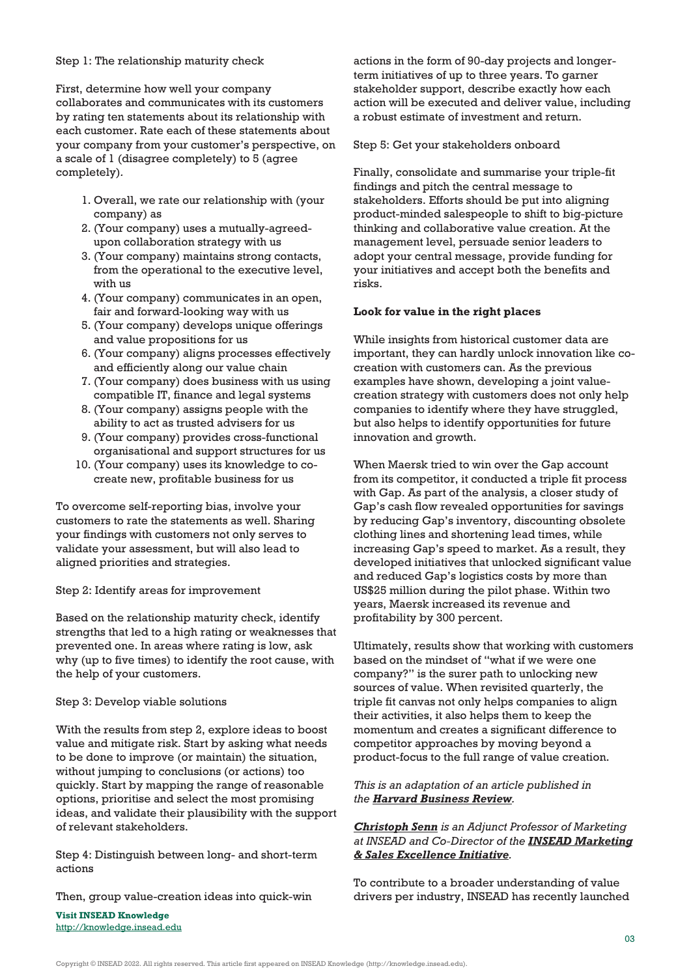#### Step 1: The relationship maturity check

First, determine how well your company collaborates and communicates with its customers by rating ten statements about its relationship with each customer. Rate each of these statements about your company from your customer's perspective, on a scale of 1 (disagree completely) to 5 (agree completely)*.*

- 1. Overall, we rate our relationship with (your company) as
- 2. (Your company) uses a mutually-agreedupon collaboration strategy with us
- 3. (Your company) maintains strong contacts, from the operational to the executive level, with us
- 4. (Your company) communicates in an open, fair and forward-looking way with us
- 5. (Your company) develops unique offerings and value propositions for us
- 6. (Your company) aligns processes effectively and efficiently along our value chain
- 7. (Your company) does business with us using compatible IT, finance and legal systems
- 8. (Your company) assigns people with the ability to act as trusted advisers for us
- 9. (Your company) provides cross-functional organisational and support structures for us
- 10. (Your company) uses its knowledge to cocreate new, profitable business for us

To overcome self-reporting bias, involve your customers to rate the statements as well. Sharing your findings with customers not only serves to validate your assessment, but will also lead to aligned priorities and strategies.

# Step 2: Identify areas for improvement

Based on the relationship maturity check, identify strengths that led to a high rating or weaknesses that prevented one. In areas where rating is low, ask why (up to five times) to identify the root cause, with the help of your customers.

# Step 3: Develop viable solutions

With the results from step 2, explore ideas to boost value and mitigate risk. Start by asking what needs to be done to improve (or maintain) the situation, without jumping to conclusions (or actions) too quickly. Start by mapping the range of reasonable options, prioritise and select the most promising ideas, and validate their plausibility with the support of relevant stakeholders.

Step 4: Distinguish between long- and short-term actions

Then, group value-creation ideas into quick-win

**Visit INSEAD Knowledge** <http://knowledge.insead.edu>

actions in the form of 90-day projects and longerterm initiatives of up to three years. To garner stakeholder support, describe exactly how each action will be executed and deliver value, including a robust estimate of investment and return.

Step 5: Get your stakeholders onboard

Finally, consolidate and summarise your triple-fit findings and pitch the central message to stakeholders. Efforts should be put into aligning product-minded salespeople to shift to big-picture thinking and collaborative value creation. At the management level, persuade senior leaders to adopt your central message, provide funding for your initiatives and accept both the benefits and risks.

# **Look for value in the right places**

While insights from historical customer data are important, they can hardly unlock innovation like cocreation with customers can. As the previous examples have shown, developing a joint valuecreation strategy with customers does not only help companies to identify where they have struggled, but also helps to identify opportunities for future innovation and growth.

When Maersk tried to win over the Gap account from its competitor, it conducted a triple fit process with Gap. As part of the analysis, a closer study of Gap's cash flow revealed opportunities for savings by reducing Gap's inventory, discounting obsolete clothing lines and shortening lead times, while increasing Gap's speed to market. As a result, they developed initiatives that unlocked significant value and reduced Gap's logistics costs by more than US\$25 million during the pilot phase. Within two years, Maersk increased its revenue and profitability by 300 percent.

Ultimately, results show that working with customers based on the mindset of "what if we were one company?" is the surer path to unlocking new sources of value. When revisited quarterly, the triple fit canvas not only helps companies to align their activities, it also helps them to keep the momentum and creates a significant difference to competitor approaches by moving beyond a product-focus to the full range of value creation.

# *This is an adaptation of an article published in the [Harvard Business Review](https://hbr.org/2022/05/stop-selling-start-collaborating).*

# *[Christoph Senn](https://www.insead.edu/faculty-research/faculty/christoph-senn) is an Adjunct Professor of Marketing at INSEAD and Co-Director of the [INSEAD Marketing](https://www.insead.edu/centres/marketing-and-sales-excellence) [& Sales Excellence Initiative](https://www.insead.edu/centres/marketing-and-sales-excellence).*

To contribute to a broader understanding of value drivers per industry, INSEAD has recently launched

Copyright © INSEAD 2022. All rights reserved. This article first appeared on INSEAD Knowledge (http://knowledge.insead.edu).